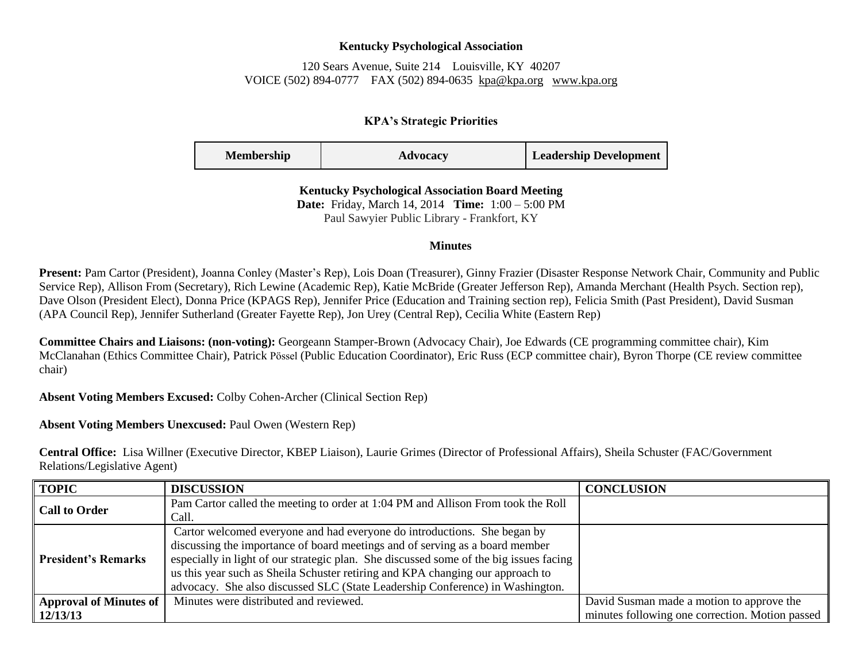## **Kentucky Psychological Association**

120 Sears Avenue, Suite 214 Louisville, KY 40207 VOICE (502) 894-0777 FAX (502) 894-0635 [kpa@kpa.org](mailto:kpa@kih.net) [www.kpa.org](http://www.kpa.org/)

## **KPA's Strategic Priorities**

| <b>Membership</b> | Advocacy | <b>Leadership Development</b> |
|-------------------|----------|-------------------------------|
|-------------------|----------|-------------------------------|

**Kentucky Psychological Association Board Meeting Date:** Friday, March 14, 2014 **Time:** 1:00 – 5:00 PM Paul Sawyier Public Library - Frankfort, KY

## **Minutes**

**Present:** Pam Cartor (President), Joanna Conley (Master's Rep), Lois Doan (Treasurer), Ginny Frazier (Disaster Response Network Chair, Community and Public Service Rep), Allison From (Secretary), Rich Lewine (Academic Rep), Katie McBride (Greater Jefferson Rep), Amanda Merchant (Health Psych. Section rep), Dave Olson (President Elect), Donna Price (KPAGS Rep), Jennifer Price (Education and Training section rep), Felicia Smith (Past President), David Susman (APA Council Rep), Jennifer Sutherland (Greater Fayette Rep), Jon Urey (Central Rep), Cecilia White (Eastern Rep)

**Committee Chairs and Liaisons: (non-voting):** Georgeann Stamper-Brown (Advocacy Chair), Joe Edwards (CE programming committee chair), Kim McClanahan (Ethics Committee Chair), Patrick Pӧssel (Public Education Coordinator), Eric Russ (ECP committee chair), Byron Thorpe (CE review committee chair)

**Absent Voting Members Excused:** Colby Cohen-Archer (Clinical Section Rep)

**Absent Voting Members Unexcused:** Paul Owen (Western Rep)

**Central Office:** Lisa Willner (Executive Director, KBEP Liaison), Laurie Grimes (Director of Professional Affairs), Sheila Schuster (FAC/Government Relations/Legislative Agent)

| <b>TOPIC</b>                  | <b>DISCUSSION</b>                                                                      | <b>CONCLUSION</b>                               |
|-------------------------------|----------------------------------------------------------------------------------------|-------------------------------------------------|
| <b>Call to Order</b>          | Pam Cartor called the meeting to order at 1:04 PM and Allison From took the Roll       |                                                 |
|                               | Call.                                                                                  |                                                 |
|                               | Cartor welcomed everyone and had everyone do introductions. She began by               |                                                 |
|                               | discussing the importance of board meetings and of serving as a board member           |                                                 |
| <b>President's Remarks</b>    | especially in light of our strategic plan. She discussed some of the big issues facing |                                                 |
|                               | us this year such as Sheila Schuster retiring and KPA changing our approach to         |                                                 |
|                               | advocacy. She also discussed SLC (State Leadership Conference) in Washington.          |                                                 |
| <b>Approval of Minutes of</b> | Minutes were distributed and reviewed.                                                 | David Susman made a motion to approve the       |
| 12/13/13                      |                                                                                        | minutes following one correction. Motion passed |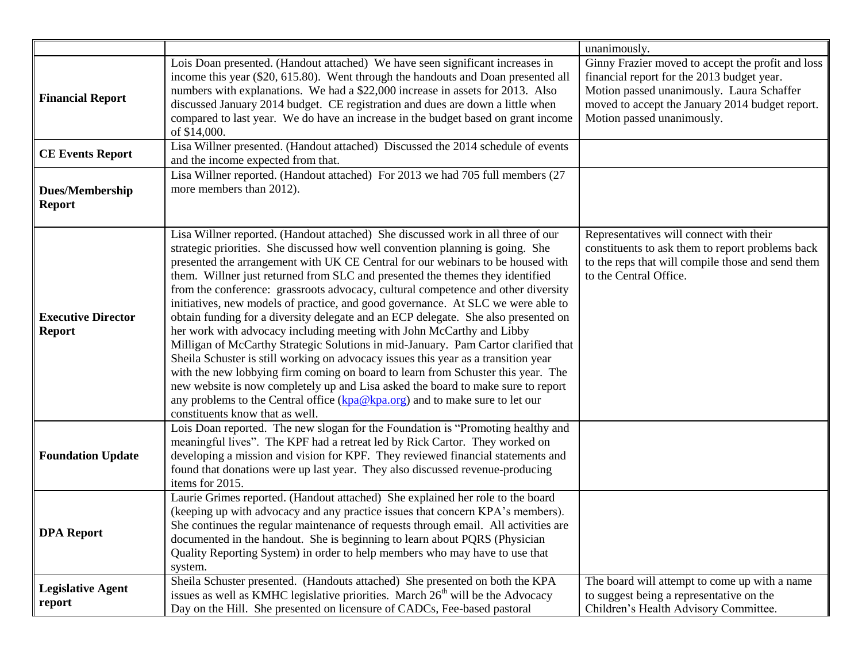|                                            |                                                                                                                                                                                                                                                                                                                                                                                                                                                                                                                                                                                                                                                                                                                                                                                                                                                                                                                                                                                                                                                                                                                                                       | unanimously.                                                                                                                                                                                                                  |
|--------------------------------------------|-------------------------------------------------------------------------------------------------------------------------------------------------------------------------------------------------------------------------------------------------------------------------------------------------------------------------------------------------------------------------------------------------------------------------------------------------------------------------------------------------------------------------------------------------------------------------------------------------------------------------------------------------------------------------------------------------------------------------------------------------------------------------------------------------------------------------------------------------------------------------------------------------------------------------------------------------------------------------------------------------------------------------------------------------------------------------------------------------------------------------------------------------------|-------------------------------------------------------------------------------------------------------------------------------------------------------------------------------------------------------------------------------|
| <b>Financial Report</b>                    | Lois Doan presented. (Handout attached) We have seen significant increases in<br>income this year (\$20, 615.80). Went through the handouts and Doan presented all<br>numbers with explanations. We had a \$22,000 increase in assets for 2013. Also<br>discussed January 2014 budget. CE registration and dues are down a little when<br>compared to last year. We do have an increase in the budget based on grant income<br>of \$14,000.<br>Lisa Willner presented. (Handout attached) Discussed the 2014 schedule of events                                                                                                                                                                                                                                                                                                                                                                                                                                                                                                                                                                                                                       | Ginny Frazier moved to accept the profit and loss<br>financial report for the 2013 budget year.<br>Motion passed unanimously. Laura Schaffer<br>moved to accept the January 2014 budget report.<br>Motion passed unanimously. |
| <b>CE Events Report</b>                    | and the income expected from that.                                                                                                                                                                                                                                                                                                                                                                                                                                                                                                                                                                                                                                                                                                                                                                                                                                                                                                                                                                                                                                                                                                                    |                                                                                                                                                                                                                               |
| <b>Dues/Membership</b><br><b>Report</b>    | Lisa Willner reported. (Handout attached) For 2013 we had 705 full members (27<br>more members than 2012).                                                                                                                                                                                                                                                                                                                                                                                                                                                                                                                                                                                                                                                                                                                                                                                                                                                                                                                                                                                                                                            |                                                                                                                                                                                                                               |
| <b>Executive Director</b><br><b>Report</b> | Lisa Willner reported. (Handout attached) She discussed work in all three of our<br>strategic priorities. She discussed how well convention planning is going. She<br>presented the arrangement with UK CE Central for our webinars to be housed with<br>them. Willner just returned from SLC and presented the themes they identified<br>from the conference: grassroots advocacy, cultural competence and other diversity<br>initiatives, new models of practice, and good governance. At SLC we were able to<br>obtain funding for a diversity delegate and an ECP delegate. She also presented on<br>her work with advocacy including meeting with John McCarthy and Libby<br>Milligan of McCarthy Strategic Solutions in mid-January. Pam Cartor clarified that<br>Sheila Schuster is still working on advocacy issues this year as a transition year<br>with the new lobbying firm coming on board to learn from Schuster this year. The<br>new website is now completely up and Lisa asked the board to make sure to report<br>any problems to the Central office (kpa@kpa.org) and to make sure to let our<br>constituents know that as well. | Representatives will connect with their<br>constituents to ask them to report problems back<br>to the reps that will compile those and send them<br>to the Central Office.                                                    |
| <b>Foundation Update</b>                   | Lois Doan reported. The new slogan for the Foundation is "Promoting healthy and<br>meaningful lives". The KPF had a retreat led by Rick Cartor. They worked on<br>developing a mission and vision for KPF. They reviewed financial statements and<br>found that donations were up last year. They also discussed revenue-producing<br>items for 2015.                                                                                                                                                                                                                                                                                                                                                                                                                                                                                                                                                                                                                                                                                                                                                                                                 |                                                                                                                                                                                                                               |
| <b>DPA</b> Report                          | Laurie Grimes reported. (Handout attached) She explained her role to the board<br>(keeping up with advocacy and any practice issues that concern KPA's members).<br>She continues the regular maintenance of requests through email. All activities are<br>documented in the handout. She is beginning to learn about PQRS (Physician<br>Quality Reporting System) in order to help members who may have to use that<br>system.                                                                                                                                                                                                                                                                                                                                                                                                                                                                                                                                                                                                                                                                                                                       |                                                                                                                                                                                                                               |
| <b>Legislative Agent</b><br>report         | Sheila Schuster presented. (Handouts attached) She presented on both the KPA<br>issues as well as KMHC legislative priorities. March 26 <sup>th</sup> will be the Advocacy<br>Day on the Hill. She presented on licensure of CADCs, Fee-based pastoral                                                                                                                                                                                                                                                                                                                                                                                                                                                                                                                                                                                                                                                                                                                                                                                                                                                                                                | The board will attempt to come up with a name<br>to suggest being a representative on the<br>Children's Health Advisory Committee.                                                                                            |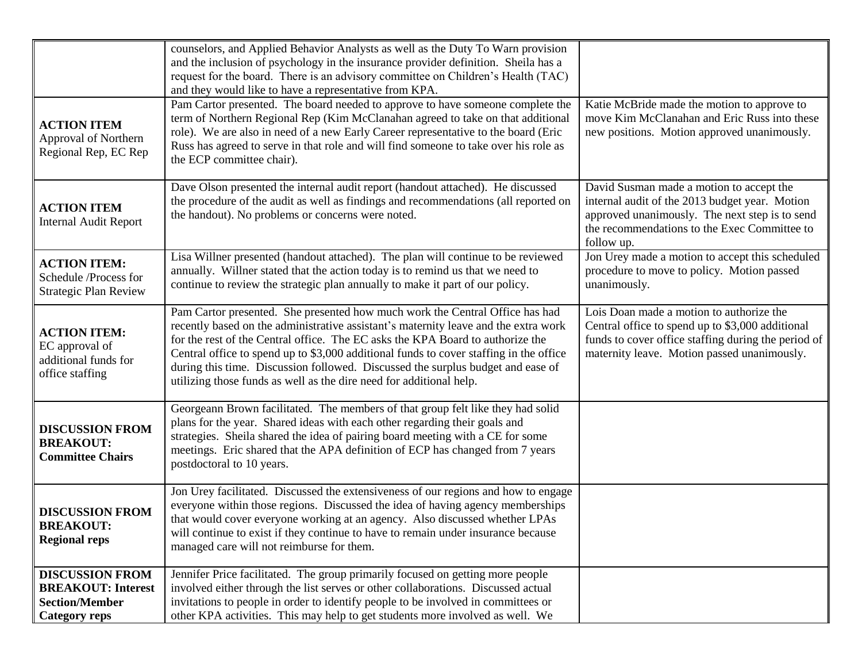| <b>ACTION ITEM</b><br>Approval of Northern<br>Regional Rep, EC Rep                                   | counselors, and Applied Behavior Analysts as well as the Duty To Warn provision<br>and the inclusion of psychology in the insurance provider definition. Sheila has a<br>request for the board. There is an advisory committee on Children's Health (TAC)<br>and they would like to have a representative from KPA.<br>Pam Cartor presented. The board needed to approve to have someone complete the<br>term of Northern Regional Rep (Kim McClanahan agreed to take on that additional<br>role). We are also in need of a new Early Career representative to the board (Eric<br>Russ has agreed to serve in that role and will find someone to take over his role as<br>the ECP committee chair). | Katie McBride made the motion to approve to<br>move Kim McClanahan and Eric Russ into these<br>new positions. Motion approved unanimously.                                                                 |
|------------------------------------------------------------------------------------------------------|-----------------------------------------------------------------------------------------------------------------------------------------------------------------------------------------------------------------------------------------------------------------------------------------------------------------------------------------------------------------------------------------------------------------------------------------------------------------------------------------------------------------------------------------------------------------------------------------------------------------------------------------------------------------------------------------------------|------------------------------------------------------------------------------------------------------------------------------------------------------------------------------------------------------------|
| <b>ACTION ITEM</b><br><b>Internal Audit Report</b>                                                   | Dave Olson presented the internal audit report (handout attached). He discussed<br>the procedure of the audit as well as findings and recommendations (all reported on<br>the handout). No problems or concerns were noted.                                                                                                                                                                                                                                                                                                                                                                                                                                                                         | David Susman made a motion to accept the<br>internal audit of the 2013 budget year. Motion<br>approved unanimously. The next step is to send<br>the recommendations to the Exec Committee to<br>follow up. |
| <b>ACTION ITEM:</b><br>Schedule /Process for<br><b>Strategic Plan Review</b>                         | Lisa Willner presented (handout attached). The plan will continue to be reviewed<br>annually. Willner stated that the action today is to remind us that we need to<br>continue to review the strategic plan annually to make it part of our policy.                                                                                                                                                                                                                                                                                                                                                                                                                                                 | Jon Urey made a motion to accept this scheduled<br>procedure to move to policy. Motion passed<br>unanimously.                                                                                              |
| <b>ACTION ITEM:</b><br>EC approval of<br>additional funds for<br>office staffing                     | Pam Cartor presented. She presented how much work the Central Office has had<br>recently based on the administrative assistant's maternity leave and the extra work<br>for the rest of the Central office. The EC asks the KPA Board to authorize the<br>Central office to spend up to \$3,000 additional funds to cover staffing in the office<br>during this time. Discussion followed. Discussed the surplus budget and ease of<br>utilizing those funds as well as the dire need for additional help.                                                                                                                                                                                           | Lois Doan made a motion to authorize the<br>Central office to spend up to \$3,000 additional<br>funds to cover office staffing during the period of<br>maternity leave. Motion passed unanimously.         |
| <b>DISCUSSION FROM</b><br><b>BREAKOUT:</b><br><b>Committee Chairs</b>                                | Georgeann Brown facilitated. The members of that group felt like they had solid<br>plans for the year. Shared ideas with each other regarding their goals and<br>strategies. Sheila shared the idea of pairing board meeting with a CE for some<br>meetings. Eric shared that the APA definition of ECP has changed from 7 years<br>postdoctoral to 10 years.                                                                                                                                                                                                                                                                                                                                       |                                                                                                                                                                                                            |
| <b>DISCUSSION FROM</b><br><b>BREAKOUT:</b><br><b>Regional reps</b>                                   | Jon Urey facilitated. Discussed the extensiveness of our regions and how to engage<br>everyone within those regions. Discussed the idea of having agency memberships<br>that would cover everyone working at an agency. Also discussed whether LPAs<br>will continue to exist if they continue to have to remain under insurance because<br>managed care will not reimburse for them.                                                                                                                                                                                                                                                                                                               |                                                                                                                                                                                                            |
| <b>DISCUSSION FROM</b><br><b>BREAKOUT: Interest</b><br><b>Section/Member</b><br><b>Category reps</b> | Jennifer Price facilitated. The group primarily focused on getting more people<br>involved either through the list serves or other collaborations. Discussed actual<br>invitations to people in order to identify people to be involved in committees or<br>other KPA activities. This may help to get students more involved as well. We                                                                                                                                                                                                                                                                                                                                                           |                                                                                                                                                                                                            |